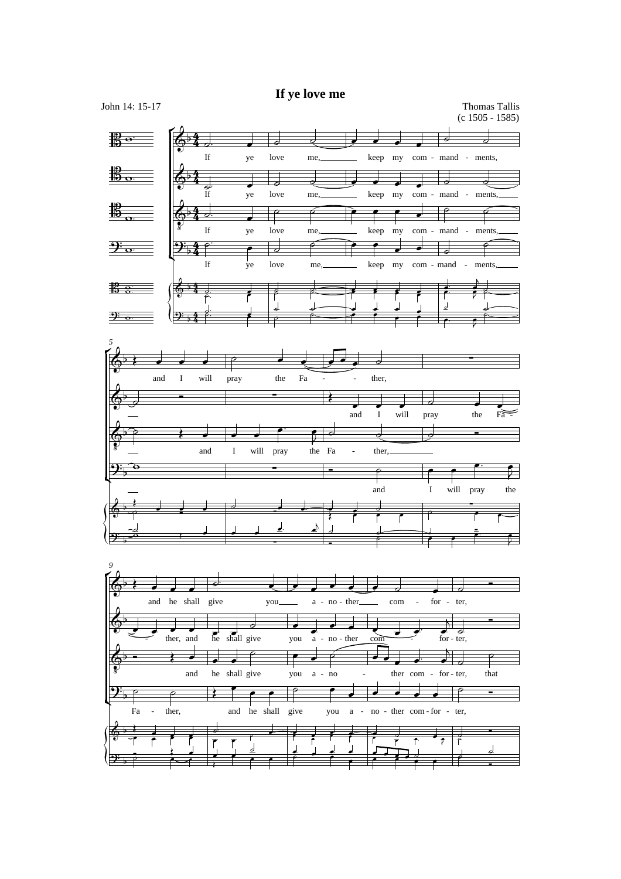## **If ye love me**

4 4  $rac{4}{4}$ 4  $rac{4}{4}$  $2.4$ 4 4  $\frac{4}{4}$ John 14: 15-17 Thomas Tallis (c 1505 - 1585) ŕ  $\left\langle \right\vert$  $\frac{10}{10}$  o = If  $\overline{d}$ . ye  $\overline{\phantom{a}}$ love  $\overline{\phantom{a}}$ me  $\downarrow$  , keep my com - mand - ments,  $\overline{\phantom{a}}$  $\frac{1}{\epsilon}$  $\overline{\phantom{a}}$  $\overline{\phantom{a}}$  $\overline{\phantom{a}}$  $\frac{15}{2}$   $\frac{1}{6}$ If <del>g.</del><br>If ye love  $\exists$ me,  $\overline{\phantom{a}}$ keep my  $\overline{\phantom{a}}$  $\overline{\phantom{a}}$  $\frac{1}{\text{com - mand - ments}}$  $\overline{d}$ ₹  $\frac{1}{2}$   $\frac{1}{2}$  $\overline{\overline{\overline{s}}}$ 2 If  $\overline{a}$ . ye  $\overline{\phantom{a}}$ love تصی me  $\sqrt{2}$ keep P my  $\overline{\phantom{0}}$ com - mand  $\overline{\phantom{0}}$ p ments ó -  $\frac{1}{2}$  o. If ₹ ye  $\overline{\bullet}$ love  $\overline{\partial}$ me,  $\circ$   $\rightarrow$   $\bullet$ keep ē my  $\overline{\phantom{a}}$ com - mand  $\overline{\phantom{a}}$  $\exists$ ments, é -  $\frac{3}{5}$   $\frac{8}{5}$ ▔▔▁▕*▎<mark>░▝▝▏<sub>ᡷ</sub>▁▁▁▔▗</mark>▔▕▕▏▁▁░░*▁▁▏*▆▏▆▏▆▏*▕▗▘▕▗▏▕▗▏  $\frac{1}{2}$ h  $\frac{1}{2}$  $\frac{2}{7}$  $\frac{1}{2}$   $\frac{1}{2}$   $\frac{1}{2}$   $\frac{1}{2}$   $\frac{1}{2}$   $\frac{1}{2}$  $\overline{\phantom{a}}$  $\overrightarrow{ }$  $\frac{1}{\epsilon}$  $\frac{1}{\sqrt{2}}$ J J  $\frac{1}{\epsilon}$  $\frac{1}{2}$   $\frac{1}{2}$  $\overline{1}$ ፆ  $\frac{1}{2}$ *5* ŕ ľ  $\left\langle \right\vert$ 7. and  $\overline{\phantom{a}}$ I  $\overline{\phantom{a}}$ will  $\overline{\phantom{a}}$ pray p the  $\overline{\phantom{0}}$ Fa  $\overline{\phantom{a}}$ ther, ᅱ - -  $\equiv$  $\left\langle \begin{array}{ccc} \circ & \circ & \circ & \circ \\ \circ & \circ & \circ & \circ \end{array} \right\rangle$  $\overline{a}$  and I will pray  $\overline{d}$ the  $\overline{\phantom{0}}$  $\frac{1}{\text{Fa} - \frac{1}{\text{Fa}}}$  $\Phi$   $\widehat{\mathfrak{p}}$ and ⇁ I  $\overline{\phantom{0}}$ will pray  $\overline{\phantom{a}}$  $\overline{\cdot}$ the Fa  $\overline{\epsilon}$  $\overline{\mathfrak{p}}$  and ther, र् -  $\phi$  .  $2\frac{1}{2}$   $\frac{1}{2}$   $\frac{1}{2}$   $\frac{1}{2}$   $\frac{1}{2}$   $\frac{1}{2}$   $\frac{1}{2}$   $\frac{1}{2}$   $\frac{1}{2}$   $\frac{1}{2}$   $\frac{1}{2}$   $\frac{1}{2}$   $\frac{1}{2}$   $\frac{1}{2}$   $\frac{1}{2}$   $\frac{1}{2}$   $\frac{1}{2}$   $\frac{1}{2}$   $\frac{1}{2}$   $\frac{1}{2}$   $\frac{1}{2}$   $\frac{1}{2}$  and  $\frac{1}{\sqrt{2}}$ I  $\overline{\phantom{0}}$ will  $\overline{\phantom{0}}$ pray **p**. the  $\overline{\mathbf{r}}$ ₹  $\oint$  $rac{1}{2}$  $\frac{1}{2}$   $\frac{1}{2}$   $\frac{1}{2}$   $\frac{1}{2}$   $\frac{1}{2}$   $\frac{1}{2}$  $\cdot$   $\cdot$  $\frac{1}{\epsilon}$  $\frac{1}{\sqrt{1-\frac{1}{\sqrt{1-\frac{1}{\sqrt{1-\frac{1}{\sqrt{1-\frac{1}{\sqrt{1-\frac{1}{\sqrt{1-\frac{1}{\sqrt{1-\frac{1}{\sqrt{1-\frac{1}{\sqrt{1-\frac{1}{\sqrt{1-\frac{1}{\sqrt{1-\frac{1}{\sqrt{1-\frac{1}{\sqrt{1-\frac{1}{\sqrt{1-\frac{1}{\sqrt{1-\frac{1}{\sqrt{1-\frac{1}{\sqrt{1-\frac{1}{\sqrt{1-\frac{1}{\sqrt{1-\frac{1}{\sqrt{1-\frac{1}{\sqrt{1-\frac{1}{\sqrt{1-\frac{1}{\sqrt{1-\frac{1}{\sqrt{1-\frac{1$  $\overline{\phantom{0}}$  $9^{\cdot}$ <u>d</u> -<u>J</u> J <u>J</u>  $\overline{ }$  $\overline{V}$   $\begin{matrix} \circ & \circ & \circ \circ \circ & \circ \circ \circ & \circ \circ \circ & \circ \circ \circ & \circ \circ \circ & \circ \circ \circ & \circ \circ \circ & \circ \circ \circ & \circ \circ \circ & \circ \circ \circ & \circ \circ \circ & \circ \circ \circ & \circ \circ \circ & \circ \circ \circ & \circ \circ \circ & \circ \circ \circ & \circ \circ \circ & \circ \circ \circ & \circ \circ \circ & \circ \circ \circ \circ & \circ \circ \circ & \circ \circ \circ \circ & \circ \circ \circ \circ & \circ \circ \circ \circ & \circ \circ \circ \circ & \circ \circ \circ \circ \circ \circ & \circ \circ \circ \circ \circ \$  $\frac{1}{\epsilon}$   $\frac{1}{\epsilon}$   $\frac{1}{\epsilon}$ ₹ *9*  $\theta$ ľ  $\left\{\right\}$ and he shall  $\overline{\phantom{a}}$  $\overline{\phantom{a}}$  $\overline{\phantom{a}}$ give ᅪ you  $\overline{\phantom{a}}$ a - no - ther  $\overline{\phantom{a}}$  $\overline{\phantom{a}}$ ₹  $\overline{\phantom{a}}$ com  $\overline{d}$ - for - ter,  $\overline{\phantom{a}}$ ∓  $\overline{ }$  $\oint_C$   $\frac{1}{\phi}$  then, ther, and **a** shall give you a - no - there come ┬ - $\overline{\phantom{a}}$  $\overline{\phantom{a}}$  $\leq$  for - ter,  $\sqrt{\frac{1}{6}}$  $\overline{ }$  $\Phi$  $\overline{\mathbf{S}}$  $\overrightarrow{a}$ and  $\frac{1}{\bullet}$ he shall give  $\overline{\phantom{a}}$  $\overline{\bullet}$ p you  $\overline{\phantom{a}}$ a  $\overline{\phantom{a}}$ no é - no - ther com . . ,  $\frac{1}{\bullet}$ - for - ter, that  $\frac{1}{2}$  $\overline{P}$ <u>ີ):</u> Fa p ther,  $\overline{\phantom{0}}$ - ₹ and he shall r  $\overline{\phantom{0}}$  $\overline{\phantom{0}}$ give ₹ you  $\overline{\phantom{0}}$ a  $\overline{\phantom{a}}$ - no - ther com - for - ter, ż  $\overline{\phantom{0}}$  $\overline{\phantom{a}}$  $\overline{\phantom{a}}$  $\overline{\mathbb{P}}$ Ξ  $\frac{6}{5}$  $\vdots$  $\frac{1}{2}$   $\frac{1}{2}$   $\frac{1}{2}$  $\frac{1}{\sqrt{2}}$  $\frac{1}{2}$   $\frac{1}{2}$   $\frac{1}{2}$  $\frac{1}{2}$  $\frac{1}{\sqrt{2}}$   $\frac{1}{\sqrt{2}}$   $\frac{1}{\sqrt{2}}$   $\frac{1}{\sqrt{2}}$  $\frac{1}{\sqrt{1-\frac{1}{\sqrt{1-\frac{1}{\sqrt{1-\frac{1}{\sqrt{1-\frac{1}{\sqrt{1-\frac{1}{\sqrt{1-\frac{1}{\sqrt{1-\frac{1}{\sqrt{1-\frac{1}{\sqrt{1-\frac{1}{\sqrt{1-\frac{1}{\sqrt{1-\frac{1}{\sqrt{1-\frac{1}{\sqrt{1-\frac{1}{\sqrt{1-\frac{1}{\sqrt{1-\frac{1}{\sqrt{1-\frac{1}{\sqrt{1-\frac{1}{\sqrt{1-\frac{1}{\sqrt{1-\frac{1}{\sqrt{1-\frac{1}{\sqrt{1-\frac{1}{\sqrt{1-\frac{1}{\sqrt{1-\frac{1}{\sqrt{1-\frac{1$ <u>(ஒ</u>  $\frac{1}{\rho}$  $\begin{array}{c} \begin{array}{c} \end{array} \end{array}$  $\overline{\phantom{a}}$  $\frac{1}{2}$  $\frac{d}{dx}$  $\frac{1}{\rho}$   $\frac{1}{\rho}$  $\frac{1}{\cdot}$  $\frac{1}{\sqrt{2}}$  $\frac{1}{\sqrt{2}}$ <u>d</u>